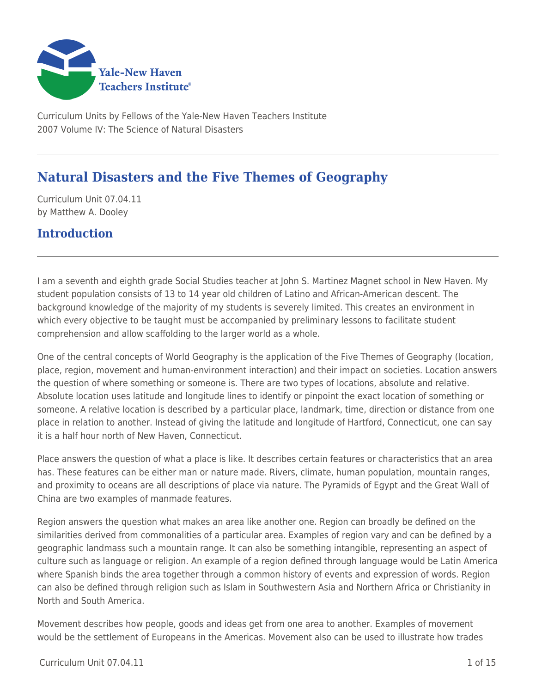

Curriculum Units by Fellows of the Yale-New Haven Teachers Institute 2007 Volume IV: The Science of Natural Disasters

# **Natural Disasters and the Five Themes of Geography**

Curriculum Unit 07.04.11 by Matthew A. Dooley

## **Introduction**

I am a seventh and eighth grade Social Studies teacher at John S. Martinez Magnet school in New Haven. My student population consists of 13 to 14 year old children of Latino and African-American descent. The background knowledge of the majority of my students is severely limited. This creates an environment in which every objective to be taught must be accompanied by preliminary lessons to facilitate student comprehension and allow scaffolding to the larger world as a whole.

One of the central concepts of World Geography is the application of the Five Themes of Geography (location, place, region, movement and human-environment interaction) and their impact on societies. Location answers the question of where something or someone is. There are two types of locations, absolute and relative. Absolute location uses latitude and longitude lines to identify or pinpoint the exact location of something or someone. A relative location is described by a particular place, landmark, time, direction or distance from one place in relation to another. Instead of giving the latitude and longitude of Hartford, Connecticut, one can say it is a half hour north of New Haven, Connecticut.

Place answers the question of what a place is like. It describes certain features or characteristics that an area has. These features can be either man or nature made. Rivers, climate, human population, mountain ranges, and proximity to oceans are all descriptions of place via nature. The Pyramids of Egypt and the Great Wall of China are two examples of manmade features.

Region answers the question what makes an area like another one. Region can broadly be defined on the similarities derived from commonalities of a particular area. Examples of region vary and can be defined by a geographic landmass such a mountain range. It can also be something intangible, representing an aspect of culture such as language or religion. An example of a region defined through language would be Latin America where Spanish binds the area together through a common history of events and expression of words. Region can also be defined through religion such as Islam in Southwestern Asia and Northern Africa or Christianity in North and South America.

Movement describes how people, goods and ideas get from one area to another. Examples of movement would be the settlement of Europeans in the Americas. Movement also can be used to illustrate how trades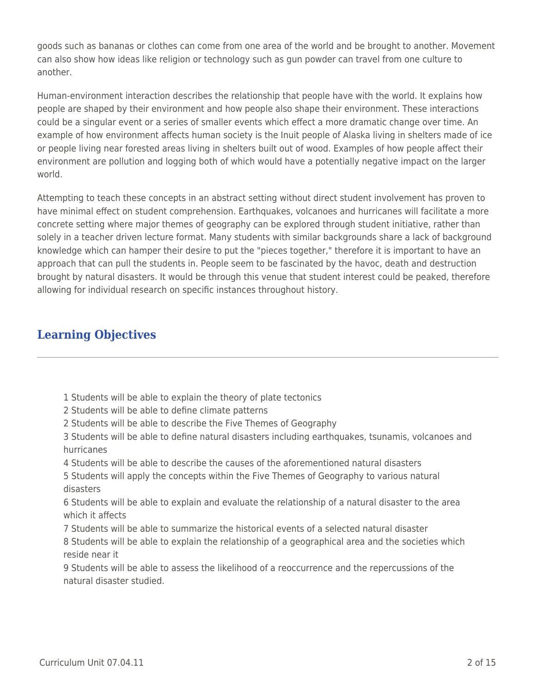goods such as bananas or clothes can come from one area of the world and be brought to another. Movement can also show how ideas like religion or technology such as gun powder can travel from one culture to another.

Human-environment interaction describes the relationship that people have with the world. It explains how people are shaped by their environment and how people also shape their environment. These interactions could be a singular event or a series of smaller events which effect a more dramatic change over time. An example of how environment affects human society is the Inuit people of Alaska living in shelters made of ice or people living near forested areas living in shelters built out of wood. Examples of how people affect their environment are pollution and logging both of which would have a potentially negative impact on the larger world.

Attempting to teach these concepts in an abstract setting without direct student involvement has proven to have minimal effect on student comprehension. Earthquakes, volcanoes and hurricanes will facilitate a more concrete setting where major themes of geography can be explored through student initiative, rather than solely in a teacher driven lecture format. Many students with similar backgrounds share a lack of background knowledge which can hamper their desire to put the "pieces together," therefore it is important to have an approach that can pull the students in. People seem to be fascinated by the havoc, death and destruction brought by natural disasters. It would be through this venue that student interest could be peaked, therefore allowing for individual research on specific instances throughout history.

## **Learning Objectives**

- 1 Students will be able to explain the theory of plate tectonics
- 2 Students will be able to define climate patterns
- 2 Students will be able to describe the Five Themes of Geography

3 Students will be able to define natural disasters including earthquakes, tsunamis, volcanoes and hurricanes

4 Students will be able to describe the causes of the aforementioned natural disasters

5 Students will apply the concepts within the Five Themes of Geography to various natural disasters

6 Students will be able to explain and evaluate the relationship of a natural disaster to the area which it affects

7 Students will be able to summarize the historical events of a selected natural disaster

8 Students will be able to explain the relationship of a geographical area and the societies which reside near it

9 Students will be able to assess the likelihood of a reoccurrence and the repercussions of the natural disaster studied.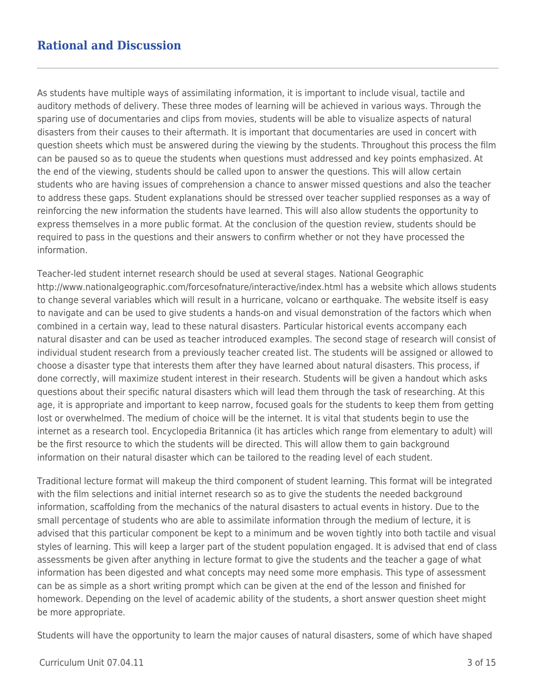## **Rational and Discussion**

As students have multiple ways of assimilating information, it is important to include visual, tactile and auditory methods of delivery. These three modes of learning will be achieved in various ways. Through the sparing use of documentaries and clips from movies, students will be able to visualize aspects of natural disasters from their causes to their aftermath. It is important that documentaries are used in concert with question sheets which must be answered during the viewing by the students. Throughout this process the film can be paused so as to queue the students when questions must addressed and key points emphasized. At the end of the viewing, students should be called upon to answer the questions. This will allow certain students who are having issues of comprehension a chance to answer missed questions and also the teacher to address these gaps. Student explanations should be stressed over teacher supplied responses as a way of reinforcing the new information the students have learned. This will also allow students the opportunity to express themselves in a more public format. At the conclusion of the question review, students should be required to pass in the questions and their answers to confirm whether or not they have processed the information.

Teacher-led student internet research should be used at several stages. National Geographic http://www.nationalgeographic.com/forcesofnature/interactive/index.html has a website which allows students to change several variables which will result in a hurricane, volcano or earthquake. The website itself is easy to navigate and can be used to give students a hands-on and visual demonstration of the factors which when combined in a certain way, lead to these natural disasters. Particular historical events accompany each natural disaster and can be used as teacher introduced examples. The second stage of research will consist of individual student research from a previously teacher created list. The students will be assigned or allowed to choose a disaster type that interests them after they have learned about natural disasters. This process, if done correctly, will maximize student interest in their research. Students will be given a handout which asks questions about their specific natural disasters which will lead them through the task of researching. At this age, it is appropriate and important to keep narrow, focused goals for the students to keep them from getting lost or overwhelmed. The medium of choice will be the internet. It is vital that students begin to use the internet as a research tool. Encyclopedia Britannica (it has articles which range from elementary to adult) will be the first resource to which the students will be directed. This will allow them to gain background information on their natural disaster which can be tailored to the reading level of each student.

Traditional lecture format will makeup the third component of student learning. This format will be integrated with the film selections and initial internet research so as to give the students the needed background information, scaffolding from the mechanics of the natural disasters to actual events in history. Due to the small percentage of students who are able to assimilate information through the medium of lecture, it is advised that this particular component be kept to a minimum and be woven tightly into both tactile and visual styles of learning. This will keep a larger part of the student population engaged. It is advised that end of class assessments be given after anything in lecture format to give the students and the teacher a gage of what information has been digested and what concepts may need some more emphasis. This type of assessment can be as simple as a short writing prompt which can be given at the end of the lesson and finished for homework. Depending on the level of academic ability of the students, a short answer question sheet might be more appropriate.

Students will have the opportunity to learn the major causes of natural disasters, some of which have shaped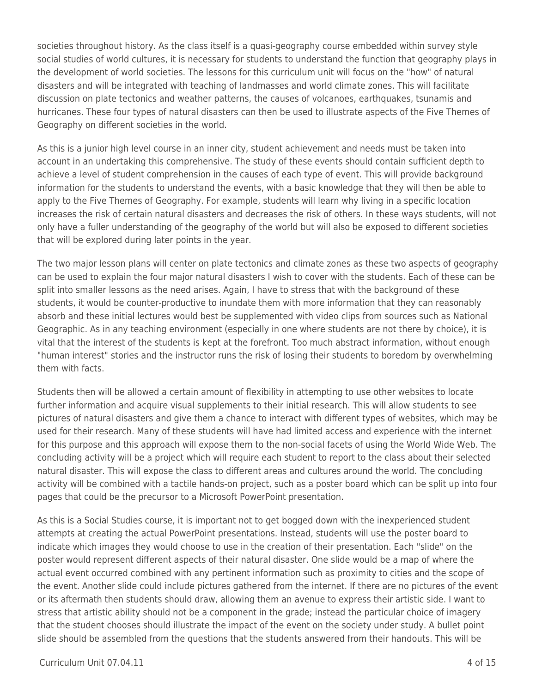societies throughout history. As the class itself is a quasi-geography course embedded within survey style social studies of world cultures, it is necessary for students to understand the function that geography plays in the development of world societies. The lessons for this curriculum unit will focus on the "how" of natural disasters and will be integrated with teaching of landmasses and world climate zones. This will facilitate discussion on plate tectonics and weather patterns, the causes of volcanoes, earthquakes, tsunamis and hurricanes. These four types of natural disasters can then be used to illustrate aspects of the Five Themes of Geography on different societies in the world.

As this is a junior high level course in an inner city, student achievement and needs must be taken into account in an undertaking this comprehensive. The study of these events should contain sufficient depth to achieve a level of student comprehension in the causes of each type of event. This will provide background information for the students to understand the events, with a basic knowledge that they will then be able to apply to the Five Themes of Geography. For example, students will learn why living in a specific location increases the risk of certain natural disasters and decreases the risk of others. In these ways students, will not only have a fuller understanding of the geography of the world but will also be exposed to different societies that will be explored during later points in the year.

The two major lesson plans will center on plate tectonics and climate zones as these two aspects of geography can be used to explain the four major natural disasters I wish to cover with the students. Each of these can be split into smaller lessons as the need arises. Again, I have to stress that with the background of these students, it would be counter-productive to inundate them with more information that they can reasonably absorb and these initial lectures would best be supplemented with video clips from sources such as National Geographic. As in any teaching environment (especially in one where students are not there by choice), it is vital that the interest of the students is kept at the forefront. Too much abstract information, without enough "human interest" stories and the instructor runs the risk of losing their students to boredom by overwhelming them with facts.

Students then will be allowed a certain amount of flexibility in attempting to use other websites to locate further information and acquire visual supplements to their initial research. This will allow students to see pictures of natural disasters and give them a chance to interact with different types of websites, which may be used for their research. Many of these students will have had limited access and experience with the internet for this purpose and this approach will expose them to the non-social facets of using the World Wide Web. The concluding activity will be a project which will require each student to report to the class about their selected natural disaster. This will expose the class to different areas and cultures around the world. The concluding activity will be combined with a tactile hands-on project, such as a poster board which can be split up into four pages that could be the precursor to a Microsoft PowerPoint presentation.

As this is a Social Studies course, it is important not to get bogged down with the inexperienced student attempts at creating the actual PowerPoint presentations. Instead, students will use the poster board to indicate which images they would choose to use in the creation of their presentation. Each "slide" on the poster would represent different aspects of their natural disaster. One slide would be a map of where the actual event occurred combined with any pertinent information such as proximity to cities and the scope of the event. Another slide could include pictures gathered from the internet. If there are no pictures of the event or its aftermath then students should draw, allowing them an avenue to express their artistic side. I want to stress that artistic ability should not be a component in the grade; instead the particular choice of imagery that the student chooses should illustrate the impact of the event on the society under study. A bullet point slide should be assembled from the questions that the students answered from their handouts. This will be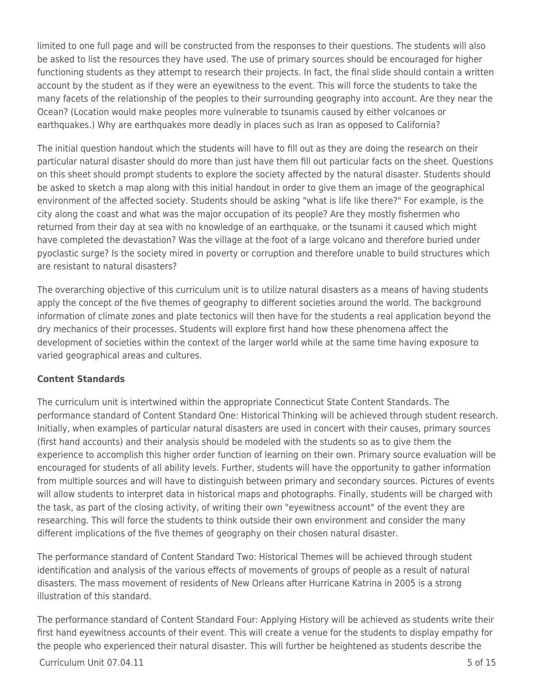limited to one full page and will be constructed from the responses to their questions. The students will also be asked to list the resources they have used. The use of primary sources should be encouraged for higher functioning students as they attempt to research their projects. In fact, the final slide should contain a written account by the student as if they were an eyewitness to the event. This will force the students to take the many facets of the relationship of the peoples to their surrounding geography into account. Are they near the Ocean? (Location would make peoples more vulnerable to tsunamis caused by either volcanoes or earthquakes.) Why are earthquakes more deadly in places such as Iran as opposed to California?

The initial question handout which the students will have to fill out as they are doing the research on their particular natural disaster should do more than just have them fill out particular facts on the sheet. Questions on this sheet should prompt students to explore the society affected by the natural disaster. Students should be asked to sketch a map along with this initial handout in order to give them an image of the geographical environment of the affected society. Students should be asking "what is life like there?" For example, is the city along the coast and what was the major occupation of its people? Are they mostly fishermen who returned from their day at sea with no knowledge of an earthquake, or the tsunami it caused which might have completed the devastation? Was the village at the foot of a large volcano and therefore buried under pyoclastic surge? Is the society mired in poverty or corruption and therefore unable to build structures which are resistant to natural disasters?

The overarching objective of this curriculum unit is to utilize natural disasters as a means of having students apply the concept of the five themes of geography to different societies around the world. The background information of climate zones and plate tectonics will then have for the students a real application beyond the dry mechanics of their processes. Students will explore first hand how these phenomena affect the development of societies within the context of the larger world while at the same time having exposure to varied geographical areas and cultures.

## **Content Standards**

The curriculum unit is intertwined within the appropriate Connecticut State Content Standards. The performance standard of Content Standard One: Historical Thinking will be achieved through student research. Initially, when examples of particular natural disasters are used in concert with their causes, primary sources (first hand accounts) and their analysis should be modeled with the students so as to give them the experience to accomplish this higher order function of learning on their own. Primary source evaluation will be encouraged for students of all ability levels. Further, students will have the opportunity to gather information from multiple sources and will have to distinguish between primary and secondary sources. Pictures of events will allow students to interpret data in historical maps and photographs. Finally, students will be charged with the task, as part of the closing activity, of writing their own "eyewitness account" of the event they are researching. This will force the students to think outside their own environment and consider the many different implications of the five themes of geography on their chosen natural disaster.

The performance standard of Content Standard Two: Historical Themes will be achieved through student identification and analysis of the various effects of movements of groups of people as a result of natural disasters. The mass movement of residents of New Orleans after Hurricane Katrina in 2005 is a strong illustration of this standard.

The performance standard of Content Standard Four: Applying History will be achieved as students write their first hand eyewitness accounts of their event. This will create a venue for the students to display empathy for the people who experienced their natural disaster. This will further be heightened as students describe the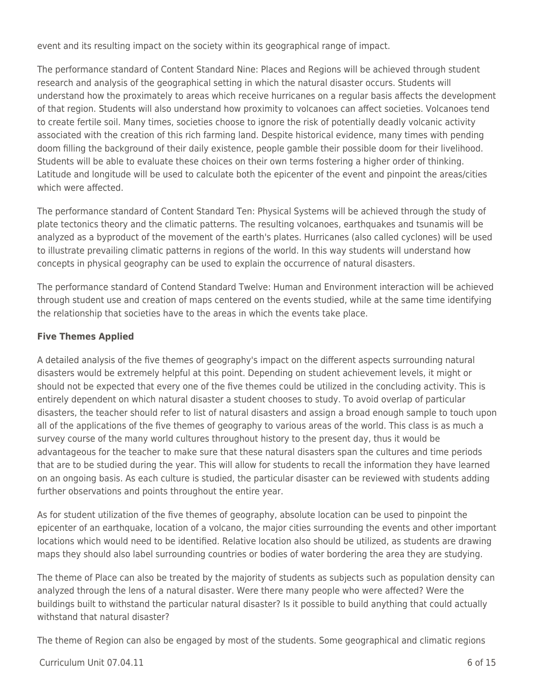event and its resulting impact on the society within its geographical range of impact.

The performance standard of Content Standard Nine: Places and Regions will be achieved through student research and analysis of the geographical setting in which the natural disaster occurs. Students will understand how the proximately to areas which receive hurricanes on a regular basis affects the development of that region. Students will also understand how proximity to volcanoes can affect societies. Volcanoes tend to create fertile soil. Many times, societies choose to ignore the risk of potentially deadly volcanic activity associated with the creation of this rich farming land. Despite historical evidence, many times with pending doom filling the background of their daily existence, people gamble their possible doom for their livelihood. Students will be able to evaluate these choices on their own terms fostering a higher order of thinking. Latitude and longitude will be used to calculate both the epicenter of the event and pinpoint the areas/cities which were affected.

The performance standard of Content Standard Ten: Physical Systems will be achieved through the study of plate tectonics theory and the climatic patterns. The resulting volcanoes, earthquakes and tsunamis will be analyzed as a byproduct of the movement of the earth's plates. Hurricanes (also called cyclones) will be used to illustrate prevailing climatic patterns in regions of the world. In this way students will understand how concepts in physical geography can be used to explain the occurrence of natural disasters.

The performance standard of Contend Standard Twelve: Human and Environment interaction will be achieved through student use and creation of maps centered on the events studied, while at the same time identifying the relationship that societies have to the areas in which the events take place.

## **Five Themes Applied**

A detailed analysis of the five themes of geography's impact on the different aspects surrounding natural disasters would be extremely helpful at this point. Depending on student achievement levels, it might or should not be expected that every one of the five themes could be utilized in the concluding activity. This is entirely dependent on which natural disaster a student chooses to study. To avoid overlap of particular disasters, the teacher should refer to list of natural disasters and assign a broad enough sample to touch upon all of the applications of the five themes of geography to various areas of the world. This class is as much a survey course of the many world cultures throughout history to the present day, thus it would be advantageous for the teacher to make sure that these natural disasters span the cultures and time periods that are to be studied during the year. This will allow for students to recall the information they have learned on an ongoing basis. As each culture is studied, the particular disaster can be reviewed with students adding further observations and points throughout the entire year.

As for student utilization of the five themes of geography, absolute location can be used to pinpoint the epicenter of an earthquake, location of a volcano, the major cities surrounding the events and other important locations which would need to be identified. Relative location also should be utilized, as students are drawing maps they should also label surrounding countries or bodies of water bordering the area they are studying.

The theme of Place can also be treated by the majority of students as subjects such as population density can analyzed through the lens of a natural disaster. Were there many people who were affected? Were the buildings built to withstand the particular natural disaster? Is it possible to build anything that could actually withstand that natural disaster?

The theme of Region can also be engaged by most of the students. Some geographical and climatic regions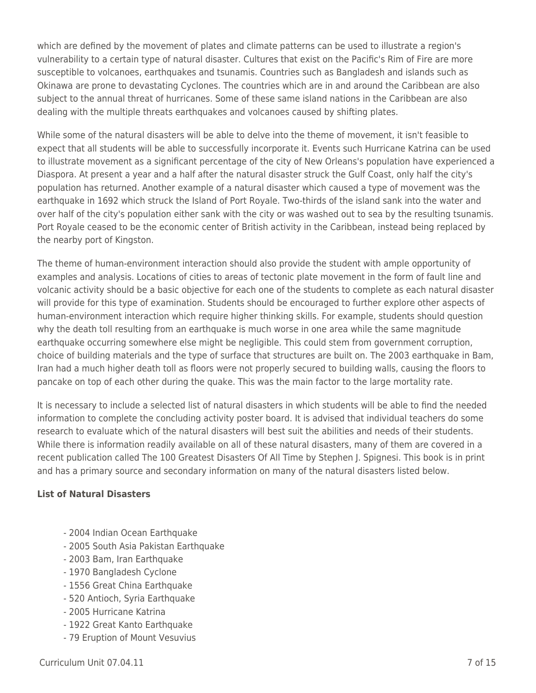which are defined by the movement of plates and climate patterns can be used to illustrate a region's vulnerability to a certain type of natural disaster. Cultures that exist on the Pacific's Rim of Fire are more susceptible to volcanoes, earthquakes and tsunamis. Countries such as Bangladesh and islands such as Okinawa are prone to devastating Cyclones. The countries which are in and around the Caribbean are also subject to the annual threat of hurricanes. Some of these same island nations in the Caribbean are also dealing with the multiple threats earthquakes and volcanoes caused by shifting plates.

While some of the natural disasters will be able to delve into the theme of movement, it isn't feasible to expect that all students will be able to successfully incorporate it. Events such Hurricane Katrina can be used to illustrate movement as a significant percentage of the city of New Orleans's population have experienced a Diaspora. At present a year and a half after the natural disaster struck the Gulf Coast, only half the city's population has returned. Another example of a natural disaster which caused a type of movement was the earthquake in 1692 which struck the Island of Port Royale. Two-thirds of the island sank into the water and over half of the city's population either sank with the city or was washed out to sea by the resulting tsunamis. Port Royale ceased to be the economic center of British activity in the Caribbean, instead being replaced by the nearby port of Kingston.

The theme of human-environment interaction should also provide the student with ample opportunity of examples and analysis. Locations of cities to areas of tectonic plate movement in the form of fault line and volcanic activity should be a basic objective for each one of the students to complete as each natural disaster will provide for this type of examination. Students should be encouraged to further explore other aspects of human-environment interaction which require higher thinking skills. For example, students should question why the death toll resulting from an earthquake is much worse in one area while the same magnitude earthquake occurring somewhere else might be negligible. This could stem from government corruption, choice of building materials and the type of surface that structures are built on. The 2003 earthquake in Bam, Iran had a much higher death toll as floors were not properly secured to building walls, causing the floors to pancake on top of each other during the quake. This was the main factor to the large mortality rate.

It is necessary to include a selected list of natural disasters in which students will be able to find the needed information to complete the concluding activity poster board. It is advised that individual teachers do some research to evaluate which of the natural disasters will best suit the abilities and needs of their students. While there is information readily available on all of these natural disasters, many of them are covered in a recent publication called The 100 Greatest Disasters Of All Time by Stephen J. Spignesi. This book is in print and has a primary source and secondary information on many of the natural disasters listed below.

## **List of Natural Disasters**

- 2004 Indian Ocean Earthquake
- 2005 South Asia Pakistan Earthquake
- 2003 Bam, Iran Earthquake
- 1970 Bangladesh Cyclone
- 1556 Great China Earthquake
- 520 Antioch, Syria Earthquake
- 2005 Hurricane Katrina
- 1922 Great Kanto Earthquake
- 79 Eruption of Mount Vesuvius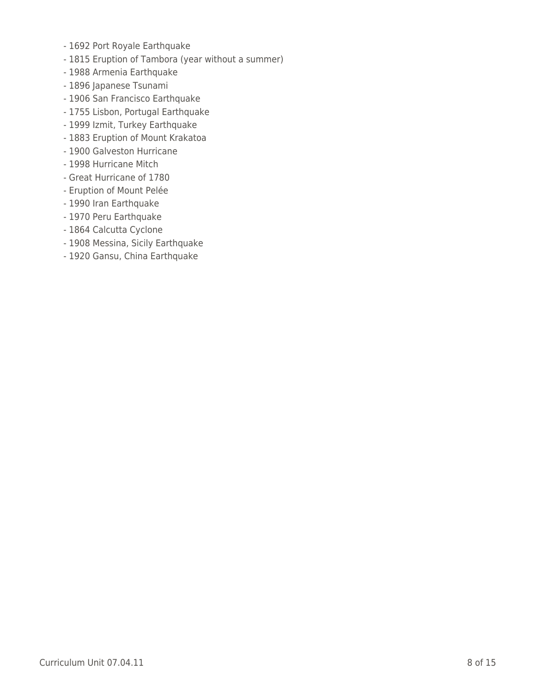- 1692 Port Royale Earthquake
- 1815 Eruption of Tambora (year without a summer)
- 1988 Armenia Earthquake
- 1896 Japanese Tsunami
- 1906 San Francisco Earthquake
- 1755 Lisbon, Portugal Earthquake
- 1999 Izmit, Turkey Earthquake
- 1883 Eruption of Mount Krakatoa
- 1900 Galveston Hurricane
- 1998 Hurricane Mitch
- Great Hurricane of 1780
- Eruption of Mount Pelée
- 1990 Iran Earthquake
- 1970 Peru Earthquake
- 1864 Calcutta Cyclone
- 1908 Messina, Sicily Earthquake
- 1920 Gansu, China Earthquake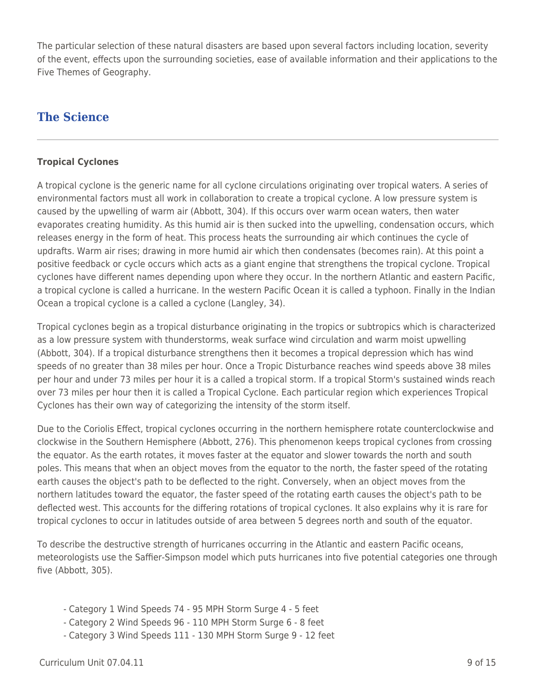The particular selection of these natural disasters are based upon several factors including location, severity of the event, effects upon the surrounding societies, ease of available information and their applications to the Five Themes of Geography.

## **The Science**

## **Tropical Cyclones**

A tropical cyclone is the generic name for all cyclone circulations originating over tropical waters. A series of environmental factors must all work in collaboration to create a tropical cyclone. A low pressure system is caused by the upwelling of warm air (Abbott, 304). If this occurs over warm ocean waters, then water evaporates creating humidity. As this humid air is then sucked into the upwelling, condensation occurs, which releases energy in the form of heat. This process heats the surrounding air which continues the cycle of updrafts. Warm air rises; drawing in more humid air which then condensates (becomes rain). At this point a positive feedback or cycle occurs which acts as a giant engine that strengthens the tropical cyclone. Tropical cyclones have different names depending upon where they occur. In the northern Atlantic and eastern Pacific, a tropical cyclone is called a hurricane. In the western Pacific Ocean it is called a typhoon. Finally in the Indian Ocean a tropical cyclone is a called a cyclone (Langley, 34).

Tropical cyclones begin as a tropical disturbance originating in the tropics or subtropics which is characterized as a low pressure system with thunderstorms, weak surface wind circulation and warm moist upwelling (Abbott, 304). If a tropical disturbance strengthens then it becomes a tropical depression which has wind speeds of no greater than 38 miles per hour. Once a Tropic Disturbance reaches wind speeds above 38 miles per hour and under 73 miles per hour it is a called a tropical storm. If a tropical Storm's sustained winds reach over 73 miles per hour then it is called a Tropical Cyclone. Each particular region which experiences Tropical Cyclones has their own way of categorizing the intensity of the storm itself.

Due to the Coriolis Effect, tropical cyclones occurring in the northern hemisphere rotate counterclockwise and clockwise in the Southern Hemisphere (Abbott, 276). This phenomenon keeps tropical cyclones from crossing the equator. As the earth rotates, it moves faster at the equator and slower towards the north and south poles. This means that when an object moves from the equator to the north, the faster speed of the rotating earth causes the object's path to be deflected to the right. Conversely, when an object moves from the northern latitudes toward the equator, the faster speed of the rotating earth causes the object's path to be deflected west. This accounts for the differing rotations of tropical cyclones. It also explains why it is rare for tropical cyclones to occur in latitudes outside of area between 5 degrees north and south of the equator.

To describe the destructive strength of hurricanes occurring in the Atlantic and eastern Pacific oceans, meteorologists use the Saffier-Simpson model which puts hurricanes into five potential categories one through five (Abbott, 305).

- Category 1 Wind Speeds 74 95 MPH Storm Surge 4 5 feet
- Category 2 Wind Speeds 96 110 MPH Storm Surge 6 8 feet
- Category 3 Wind Speeds 111 130 MPH Storm Surge 9 12 feet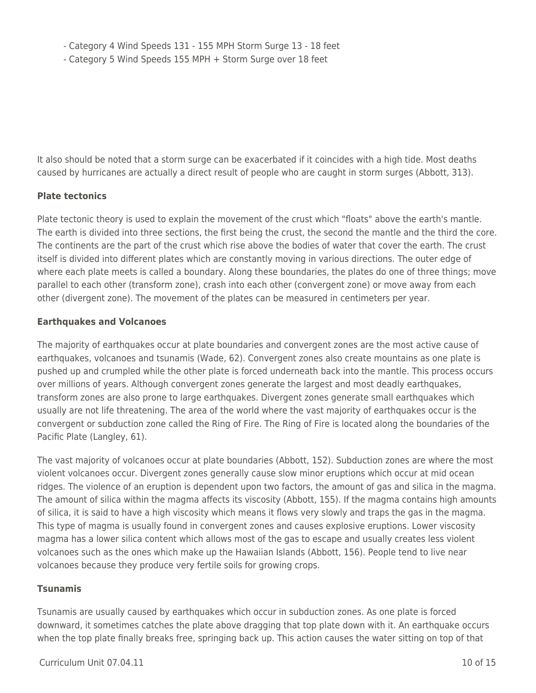- Category 4 Wind Speeds 131 - 155 MPH Storm Surge 13 - 18 feet

- Category 5 Wind Speeds 155 MPH + Storm Surge over 18 feet

It also should be noted that a storm surge can be exacerbated if it coincides with a high tide. Most deaths caused by hurricanes are actually a direct result of people who are caught in storm surges (Abbott, 313).

## **Plate tectonics**

Plate tectonic theory is used to explain the movement of the crust which "floats" above the earth's mantle. The earth is divided into three sections, the first being the crust, the second the mantle and the third the core. The continents are the part of the crust which rise above the bodies of water that cover the earth. The crust itself is divided into different plates which are constantly moving in various directions. The outer edge of where each plate meets is called a boundary. Along these boundaries, the plates do one of three things; move parallel to each other (transform zone), crash into each other (convergent zone) or move away from each other (divergent zone). The movement of the plates can be measured in centimeters per year.

## **Earthquakes and Volcanoes**

The majority of earthquakes occur at plate boundaries and convergent zones are the most active cause of earthquakes, volcanoes and tsunamis (Wade, 62). Convergent zones also create mountains as one plate is pushed up and crumpled while the other plate is forced underneath back into the mantle. This process occurs over millions of years. Although convergent zones generate the largest and most deadly earthquakes, transform zones are also prone to large earthquakes. Divergent zones generate small earthquakes which usually are not life threatening. The area of the world where the vast majority of earthquakes occur is the convergent or subduction zone called the Ring of Fire. The Ring of Fire is located along the boundaries of the Pacific Plate (Langley, 61).

The vast majority of volcanoes occur at plate boundaries (Abbott, 152). Subduction zones are where the most violent volcanoes occur. Divergent zones generally cause slow minor eruptions which occur at mid ocean ridges. The violence of an eruption is dependent upon two factors, the amount of gas and silica in the magma. The amount of silica within the magma affects its viscosity (Abbott, 155). If the magma contains high amounts of silica, it is said to have a high viscosity which means it flows very slowly and traps the gas in the magma. This type of magma is usually found in convergent zones and causes explosive eruptions. Lower viscosity magma has a lower silica content which allows most of the gas to escape and usually creates less violent volcanoes such as the ones which make up the Hawaiian Islands (Abbott, 156). People tend to live near volcanoes because they produce very fertile soils for growing crops.

## **Tsunamis**

Tsunamis are usually caused by earthquakes which occur in subduction zones. As one plate is forced downward, it sometimes catches the plate above dragging that top plate down with it. An earthquake occurs when the top plate finally breaks free, springing back up. This action causes the water sitting on top of that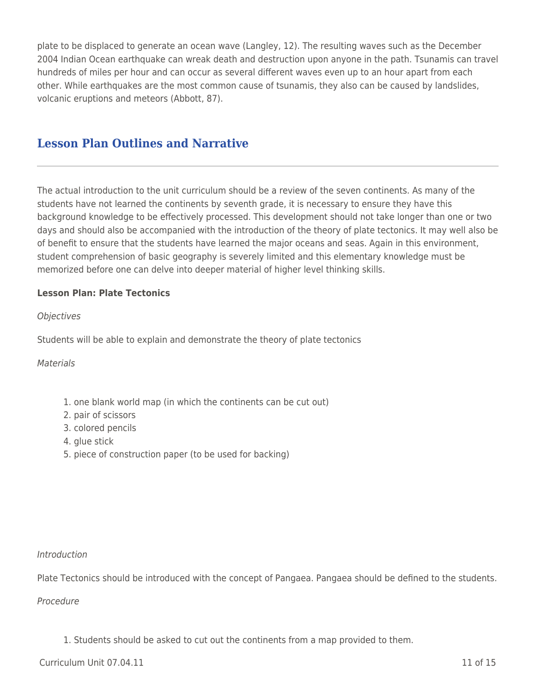plate to be displaced to generate an ocean wave (Langley, 12). The resulting waves such as the December 2004 Indian Ocean earthquake can wreak death and destruction upon anyone in the path. Tsunamis can travel hundreds of miles per hour and can occur as several different waves even up to an hour apart from each other. While earthquakes are the most common cause of tsunamis, they also can be caused by landslides, volcanic eruptions and meteors (Abbott, 87).

## **Lesson Plan Outlines and Narrative**

The actual introduction to the unit curriculum should be a review of the seven continents. As many of the students have not learned the continents by seventh grade, it is necessary to ensure they have this background knowledge to be effectively processed. This development should not take longer than one or two days and should also be accompanied with the introduction of the theory of plate tectonics. It may well also be of benefit to ensure that the students have learned the major oceans and seas. Again in this environment, student comprehension of basic geography is severely limited and this elementary knowledge must be memorized before one can delve into deeper material of higher level thinking skills.

### **Lesson Plan: Plate Tectonics**

#### **Objectives**

Students will be able to explain and demonstrate the theory of plate tectonics

**Materials** 

- 1. one blank world map (in which the continents can be cut out)
- 2. pair of scissors
- 3. colored pencils
- 4. glue stick
- 5. piece of construction paper (to be used for backing)

Introduction

Plate Tectonics should be introduced with the concept of Pangaea. Pangaea should be defined to the students.

Procedure

1. Students should be asked to cut out the continents from a map provided to them.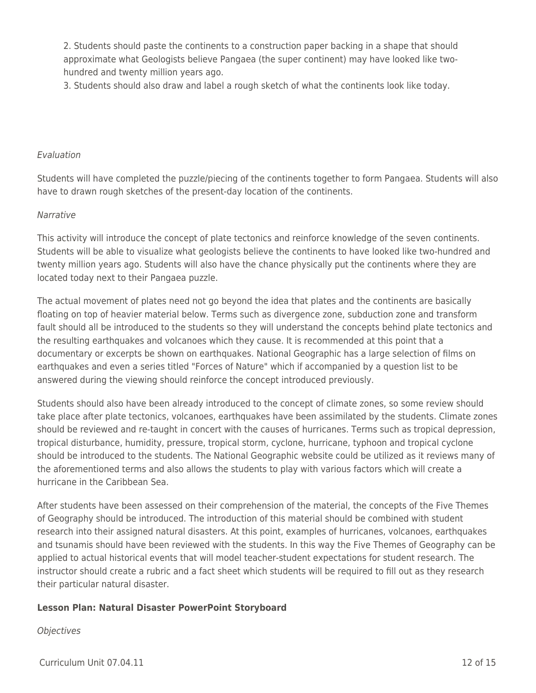2. Students should paste the continents to a construction paper backing in a shape that should approximate what Geologists believe Pangaea (the super continent) may have looked like twohundred and twenty million years ago.

3. Students should also draw and label a rough sketch of what the continents look like today.

#### Evaluation

Students will have completed the puzzle/piecing of the continents together to form Pangaea. Students will also have to drawn rough sketches of the present-day location of the continents.

#### Narrative

This activity will introduce the concept of plate tectonics and reinforce knowledge of the seven continents. Students will be able to visualize what geologists believe the continents to have looked like two-hundred and twenty million years ago. Students will also have the chance physically put the continents where they are located today next to their Pangaea puzzle.

The actual movement of plates need not go beyond the idea that plates and the continents are basically floating on top of heavier material below. Terms such as divergence zone, subduction zone and transform fault should all be introduced to the students so they will understand the concepts behind plate tectonics and the resulting earthquakes and volcanoes which they cause. It is recommended at this point that a documentary or excerpts be shown on earthquakes. National Geographic has a large selection of films on earthquakes and even a series titled "Forces of Nature" which if accompanied by a question list to be answered during the viewing should reinforce the concept introduced previously.

Students should also have been already introduced to the concept of climate zones, so some review should take place after plate tectonics, volcanoes, earthquakes have been assimilated by the students. Climate zones should be reviewed and re-taught in concert with the causes of hurricanes. Terms such as tropical depression, tropical disturbance, humidity, pressure, tropical storm, cyclone, hurricane, typhoon and tropical cyclone should be introduced to the students. The National Geographic website could be utilized as it reviews many of the aforementioned terms and also allows the students to play with various factors which will create a hurricane in the Caribbean Sea.

After students have been assessed on their comprehension of the material, the concepts of the Five Themes of Geography should be introduced. The introduction of this material should be combined with student research into their assigned natural disasters. At this point, examples of hurricanes, volcanoes, earthquakes and tsunamis should have been reviewed with the students. In this way the Five Themes of Geography can be applied to actual historical events that will model teacher-student expectations for student research. The instructor should create a rubric and a fact sheet which students will be required to fill out as they research their particular natural disaster.

#### **Lesson Plan: Natural Disaster PowerPoint Storyboard**

**Objectives**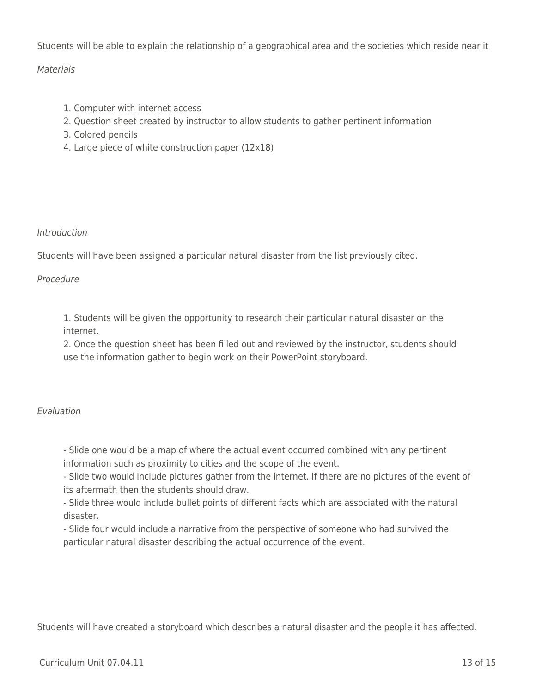Students will be able to explain the relationship of a geographical area and the societies which reside near it

## **Materials**

- 1. Computer with internet access
- 2. Question sheet created by instructor to allow students to gather pertinent information
- 3. Colored pencils
- 4. Large piece of white construction paper (12x18)

## Introduction

Students will have been assigned a particular natural disaster from the list previously cited.

## Procedure

1. Students will be given the opportunity to research their particular natural disaster on the internet.

2. Once the question sheet has been filled out and reviewed by the instructor, students should use the information gather to begin work on their PowerPoint storyboard.

## Evaluation

- Slide one would be a map of where the actual event occurred combined with any pertinent information such as proximity to cities and the scope of the event.

- Slide two would include pictures gather from the internet. If there are no pictures of the event of its aftermath then the students should draw.

- Slide three would include bullet points of different facts which are associated with the natural disaster.

- Slide four would include a narrative from the perspective of someone who had survived the particular natural disaster describing the actual occurrence of the event.

Students will have created a storyboard which describes a natural disaster and the people it has affected.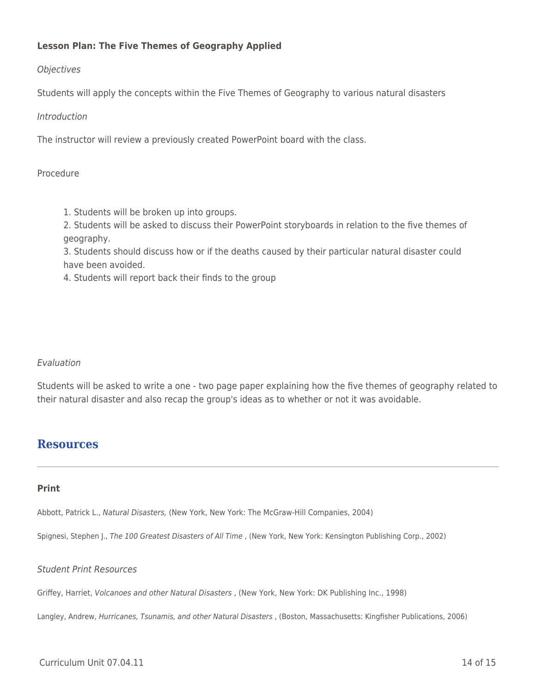## **Lesson Plan: The Five Themes of Geography Applied**

## **Objectives**

Students will apply the concepts within the Five Themes of Geography to various natural disasters

### Introduction

The instructor will review a previously created PowerPoint board with the class.

### Procedure

1. Students will be broken up into groups.

2. Students will be asked to discuss their PowerPoint storyboards in relation to the five themes of geography.

3. Students should discuss how or if the deaths caused by their particular natural disaster could have been avoided.

4. Students will report back their finds to the group

## Evaluation

Students will be asked to write a one - two page paper explaining how the five themes of geography related to their natural disaster and also recap the group's ideas as to whether or not it was avoidable.

## **Resources**

#### **Print**

Abbott, Patrick L., Natural Disasters, (New York, New York: The McGraw-Hill Companies, 2004)

Spignesi, Stephen J., The 100 Greatest Disasters of All Time , (New York, New York: Kensington Publishing Corp., 2002)

#### Student Print Resources

Griffey, Harriet, Volcanoes and other Natural Disasters , (New York, New York: DK Publishing Inc., 1998)

Langley, Andrew, Hurricanes, Tsunamis, and other Natural Disasters , (Boston, Massachusetts: Kingfisher Publications, 2006)